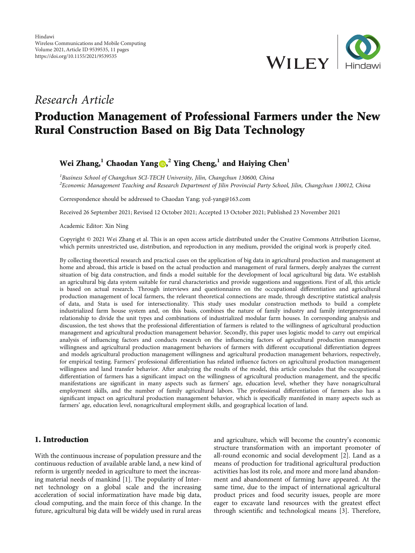

## Research Article

# Production Management of Professional Farmers under the New Rural Construction Based on Big Data Technology

## Wei Zhang,**<sup>1</sup>** Chaodan Yang [,](https://orcid.org/0000-0002-4056-9694) **<sup>2</sup>** Ying Cheng,**<sup>1</sup>** and Haiying Chen**<sup>1</sup>**

<sup>1</sup>Business School of Changchun SCI-TECH University, Jilin, Changchun 130600, China  $^2$ Economic Management Teaching and Research Department of Jilin Provincial Party School, Jilin, Changchun 130012, China

Correspondence should be addressed to Chaodan Yang; ycd-yang@163.com

Received 26 September 2021; Revised 12 October 2021; Accepted 13 October 2021; Published 23 November 2021

Academic Editor: Xin Ning

Copyright © 2021 Wei Zhang et al. This is an open access article distributed under the [Creative Commons Attribution License](https://creativecommons.org/licenses/by/4.0/), which permits unrestricted use, distribution, and reproduction in any medium, provided the original work is properly cited.

By collecting theoretical research and practical cases on the application of big data in agricultural production and management at home and abroad, this article is based on the actual production and management of rural farmers, deeply analyzes the current situation of big data construction, and finds a model suitable for the development of local agricultural big data. We establish an agricultural big data system suitable for rural characteristics and provide suggestions and suggestions. First of all, this article is based on actual research. Through interviews and questionnaires on the occupational differentiation and agricultural production management of local farmers, the relevant theoretical connections are made, through descriptive statistical analysis of data, and Stata is used for intersectionality. This study uses modular construction methods to build a complete industrialized farm house system and, on this basis, combines the nature of family industry and family intergenerational relationship to divide the unit types and combinations of industrialized modular farm houses. In corresponding analysis and discussion, the test shows that the professional differentiation of farmers is related to the willingness of agricultural production management and agricultural production management behavior. Secondly, this paper uses logistic model to carry out empirical analysis of influencing factors and conducts research on the influencing factors of agricultural production management willingness and agricultural production management behaviors of farmers with different occupational differentiation degrees and models agricultural production management willingness and agricultural production management behaviors, respectively, for empirical testing. Farmers' professional differentiation has related influence factors on agricultural production management willingness and land transfer behavior. After analyzing the results of the model, this article concludes that the occupational differentiation of farmers has a significant impact on the willingness of agricultural production management, and the specific manifestations are significant in many aspects such as farmers' age, education level, whether they have nonagricultural employment skills, and the number of family agricultural labors. The professional differentiation of farmers also has a significant impact on agricultural production management behavior, which is specifically manifested in many aspects such as farmers' age, education level, nonagricultural employment skills, and geographical location of land.

## 1. Introduction

With the continuous increase of population pressure and the continuous reduction of available arable land, a new kind of reform is urgently needed in agriculture to meet the increasing material needs of mankind [[1](#page-9-0)]. The popularity of Internet technology on a global scale and the increasing acceleration of social informatization have made big data, cloud computing, and the main force of this change. In the future, agricultural big data will be widely used in rural areas

and agriculture, which will become the country's economic structure transformation with an important promoter of all-round economic and social development [[2\]](#page-9-0). Land as a means of production for traditional agricultural production activities has lost its role, and more and more land abandonment and abandonment of farming have appeared. At the same time, due to the impact of international agricultural product prices and food security issues, people are more eager to excavate land resources with the greatest effect through scientific and technological means [\[3\]](#page-9-0). Therefore,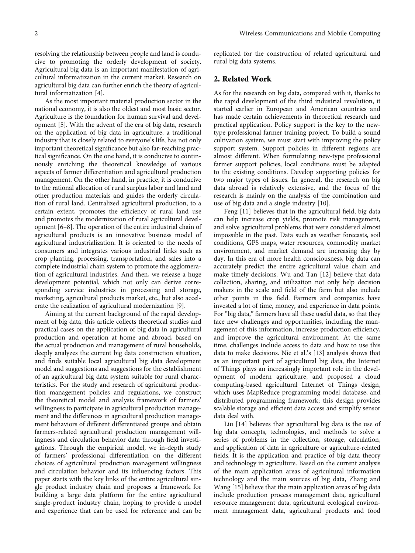resolving the relationship between people and land is conducive to promoting the orderly development of society. Agricultural big data is an important manifestation of agricultural informatization in the current market. Research on agricultural big data can further enrich the theory of agricultural informatization [[4](#page-9-0)].

As the most important material production sector in the national economy, it is also the oldest and most basic sector. Agriculture is the foundation for human survival and development [\[5](#page-9-0)]. With the advent of the era of big data, research on the application of big data in agriculture, a traditional industry that is closely related to everyone's life, has not only important theoretical significance but also far-reaching practical significance. On the one hand, it is conducive to continuously enriching the theoretical knowledge of various aspects of farmer differentiation and agricultural production management. On the other hand, in practice, it is conducive to the rational allocation of rural surplus labor and land and other production materials and guides the orderly circulation of rural land. Centralized agricultural production, to a certain extent, promotes the efficiency of rural land use and promotes the modernization of rural agricultural development [[6](#page-9-0)–[8](#page-9-0)]. The operation of the entire industrial chain of agricultural products is an innovative business model of agricultural industrialization. It is oriented to the needs of consumers and integrates various industrial links such as crop planting, processing, transportation, and sales into a complete industrial chain system to promote the agglomeration of agricultural industries. And then, we release a huge development potential, which not only can derive corresponding service industries in processing and storage, marketing, agricultural products market, etc., but also accelerate the realization of agricultural modernization [[9\]](#page-9-0).

Aiming at the current background of the rapid development of big data, this article collects theoretical studies and practical cases on the application of big data in agricultural production and operation at home and abroad, based on the actual production and management of rural households, deeply analyzes the current big data construction situation, and finds suitable local agricultural big data development model and suggestions and suggestions for the establishment of an agricultural big data system suitable for rural characteristics. For the study and research of agricultural production management policies and regulations, we construct the theoretical model and analysis framework of farmers' willingness to participate in agricultural production management and the differences in agricultural production management behaviors of different differentiated groups and obtain farmers-related agricultural production management willingness and circulation behavior data through field investigations. Through the empirical model, we in-depth study of farmers' professional differentiation on the different choices of agricultural production management willingness and circulation behavior and its influencing factors. This paper starts with the key links of the entire agricultural single product industry chain and proposes a framework for building a large data platform for the entire agricultural single-product industry chain, hoping to provide a model and experience that can be used for reference and can be

replicated for the construction of related agricultural and rural big data systems.

#### 2. Related Work

As for the research on big data, compared with it, thanks to the rapid development of the third industrial revolution, it started earlier in European and American countries and has made certain achievements in theoretical research and practical application. Policy support is the key to the newtype professional farmer training project. To build a sound cultivation system, we must start with improving the policy support system. Support policies in different regions are almost different. When formulating new-type professional farmer support policies, local conditions must be adapted to the existing conditions. Develop supporting policies for two major types of issues. In general, the research on big data abroad is relatively extensive, and the focus of the research is mainly on the analysis of the combination and use of big data and a single industry [\[10\]](#page-10-0).

Feng [[11\]](#page-10-0) believes that in the agricultural field, big data can help increase crop yields, promote risk management, and solve agricultural problems that were considered almost impossible in the past. Data such as weather forecasts, soil conditions, GPS maps, water resources, commodity market environment, and market demand are increasing day by day. In this era of more health consciousness, big data can accurately predict the entire agricultural value chain and make timely decisions. Wu and Tan [[12](#page-10-0)] believe that data collection, sharing, and utilization not only help decision makers in the scale and field of the farm but also include other points in this field. Farmers and companies have invested a lot of time, money, and experience in data points. For "big data," farmers have all these useful data, so that they face new challenges and opportunities, including the management of this information, increase production efficiency, and improve the agricultural environment. At the same time, challenges include access to data and how to use this data to make decisions. Nie et al.'s [\[13\]](#page-10-0) analysis shows that as an important part of agricultural big data, the Internet of Things plays an increasingly important role in the development of modern agriculture, and proposed a cloud computing-based agricultural Internet of Things design, which uses MapReduce programming model database, and distributed programming framework; this design provides scalable storage and efficient data access and simplify sensor data deal with.

Liu [\[14\]](#page-10-0) believes that agricultural big data is the use of big data concepts, technologies, and methods to solve a series of problems in the collection, storage, calculation, and application of data in agriculture or agriculture-related fields. It is the application and practice of big data theory and technology in agriculture. Based on the current analysis of the main application areas of agricultural information technology and the main sources of big data, Zhang and Wang [[15](#page-10-0)] believe that the main application areas of big data include production process management data, agricultural resource management data, agricultural ecological environment management data, agricultural products and food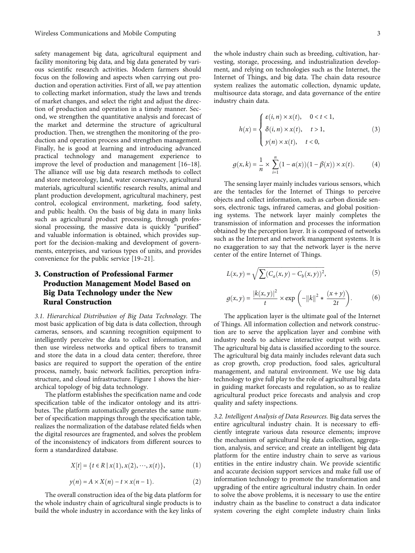safety management big data, agricultural equipment and facility monitoring big data, and big data generated by various scientific research activities. Modern farmers should focus on the following and aspects when carrying out production and operation activities. First of all, we pay attention to collecting market information, study the laws and trends of market changes, and select the right and adjust the direction of production and operation in a timely manner. Second, we strengthen the quantitative analysis and forecast of the market and determine the structure of agricultural production. Then, we strengthen the monitoring of the production and operation process and strengthen management. Finally, he is good at learning and introducing advanced practical technology and management experience to improve the level of production and management [\[16](#page-10-0)–[18](#page-10-0)]. The alliance will use big data research methods to collect and store meteorology, land, water conservancy, agricultural materials, agricultural scientific research results, animal and plant production development, agricultural machinery, pest control, ecological environment, marketing, food safety, and public health. On the basis of big data in many links such as agricultural product processing, through professional processing, the massive data is quickly "purified" and valuable information is obtained, which provides support for the decision-making and development of governments, enterprises, and various types of units, and provides convenience for the public service [[19](#page-10-0)–[21\]](#page-10-0).

## 3. Construction of Professional Farmer Production Management Model Based on Big Data Technology under the New Rural Construction

3.1. Hierarchical Distribution of Big Data Technology. The most basic application of big data is data collection, through cameras, sensors, and scanning recognition equipment to intelligently perceive the data to collect information, and then use wireless networks and optical fibers to transmit and store the data in a cloud data center; therefore, three basics are required to support the operation of the entire process, namely, basic network facilities, perception infrastructure, and cloud infrastructure. Figure [1](#page-3-0) shows the hierarchical topology of big data technology.

The platform establishes the specification name and code specification table of the indicator ontology and its attributes. The platform automatically generates the same number of specification mappings through the specification table, realizes the normalization of the database related fields when the digital resources are fragmented, and solves the problem of the inconsistency of indicators from different sources to form a standardized database.

$$
X[t] = \{ t \in R \mid x(1), x(2), \cdots, x(t) \},
$$
 (1)

$$
y(n) = A \times X(n) - t \times x(n-1).
$$
 (2)

The overall construction idea of the big data platform for the whole industry chain of agricultural single products is to build the whole industry in accordance with the key links of the whole industry chain such as breeding, cultivation, harvesting, storage, processing, and industrialization development, and relying on technologies such as the Internet, the Internet of Things, and big data. The chain data resource system realizes the automatic collection, dynamic update, multisource data storage, and data governance of the entire industry chain data.

$$
h(x) = \begin{cases} \varepsilon(i, n) \times x(t), & 0 < t < 1, \\ \delta(i, n) \times x(t), & t > 1, \\ y(n) \times x(t), & t < 0, \end{cases}
$$
 (3)

$$
g(x,k) = \frac{1}{n} \times \sum_{i=1}^{n} (1 - \alpha(x))(1 - \beta(x)) \times x(t).
$$
 (4)

The sensing layer mainly includes various sensors, which are the tentacles for the Internet of Things to perceive objects and collect information, such as carbon dioxide sensors, electronic tags, infrared cameras, and global positioning systems. The network layer mainly completes the transmission of information and processes the information obtained by the perception layer. It is composed of networks such as the Internet and network management systems. It is no exaggeration to say that the network layer is the nerve center of the entire Internet of Things.

$$
L(x, y) = \sqrt{\sum (C_a(x, y) - C_b(x, y))^2},
$$
\n(5)

$$
g(x, y) = \frac{|k(x, y)|^2}{t} \times \exp\left(-\|k\|^2 * \frac{(x + y)}{2t}\right).
$$
 (6)

The application layer is the ultimate goal of the Internet of Things. All information collection and network construction are to serve the application layer and combine with industry needs to achieve interactive output with users. The agricultural big data is classified according to the source. The agricultural big data mainly includes relevant data such as crop growth, crop production, food sales, agricultural management, and natural environment. We use big data technology to give full play to the role of agricultural big data in guiding market forecasts and regulation, so as to realize agricultural product price forecasts and analysis and crop quality and safety inspections.

3.2. Intelligent Analysis of Data Resources. Big data serves the entire agricultural industry chain. It is necessary to efficiently integrate various data resource elements; improve the mechanism of agricultural big data collection, aggregation, analysis, and service; and create an intelligent big data platform for the entire industry chain to serve as various entities in the entire industry chain. We provide scientific and accurate decision support services and make full use of information technology to promote the transformation and upgrading of the entire agricultural industry chain. In order to solve the above problems, it is necessary to use the entire industry chain as the baseline to construct a data indicator system covering the eight complete industry chain links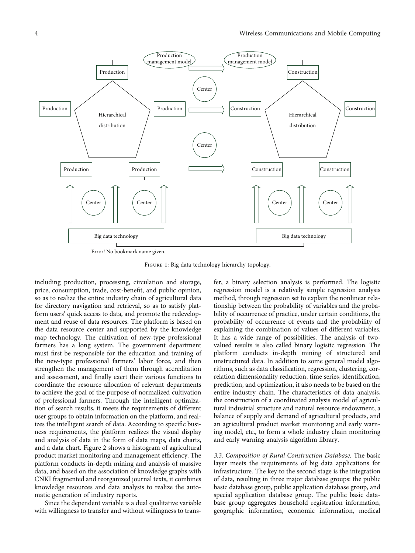<span id="page-3-0"></span>

Figure 1: Big data technology hierarchy topology.

including production, processing, circulation and storage, price, consumption, trade, cost-benefit, and public opinion, so as to realize the entire industry chain of agricultural data for directory navigation and retrieval, so as to satisfy platform users' quick access to data, and promote the redevelopment and reuse of data resources. The platform is based on the data resource center and supported by the knowledge map technology. The cultivation of new-type professional farmers has a long system. The government department must first be responsible for the education and training of the new-type professional farmers' labor force, and then strengthen the management of them through accreditation and assessment, and finally exert their various functions to coordinate the resource allocation of relevant departments to achieve the goal of the purpose of normalized cultivation of professional farmers. Through the intelligent optimization of search results, it meets the requirements of different user groups to obtain information on the platform, and realizes the intelligent search of data. According to specific business requirements, the platform realizes the visual display and analysis of data in the form of data maps, data charts, and a data chart. Figure [2](#page-4-0) shows a histogram of agricultural product market monitoring and management efficiency. The platform conducts in-depth mining and analysis of massive data, and based on the association of knowledge graphs with CNKI fragmented and reorganized journal texts, it combines knowledge resources and data analysis to realize the automatic generation of industry reports.

Since the dependent variable is a dual qualitative variable with willingness to transfer and without willingness to trans-

fer, a binary selection analysis is performed. The logistic regression model is a relatively simple regression analysis method, through regression set to explain the nonlinear relationship between the probability of variables and the probability of occurrence of practice, under certain conditions, the probability of occurrence of events and the probability of explaining the combination of values of different variables. It has a wide range of possibilities. The analysis of twovalued results is also called binary logistic regression. The platform conducts in-depth mining of structured and unstructured data. In addition to some general model algorithms, such as data classification, regression, clustering, correlation dimensionality reduction, time series, identification, prediction, and optimization, it also needs to be based on the entire industry chain. The characteristics of data analysis, the construction of a coordinated analysis model of agricultural industrial structure and natural resource endowment, a balance of supply and demand of agricultural products, and an agricultural product market monitoring and early warning model, etc., to form a whole industry chain monitoring and early warning analysis algorithm library.

3.3. Composition of Rural Construction Database. The basic layer meets the requirements of big data applications for infrastructure. The key to the second stage is the integration of data, resulting in three major database groups: the public basic database group, public application database group, and special application database group. The public basic database group aggregates household registration information, geographic information, economic information, medical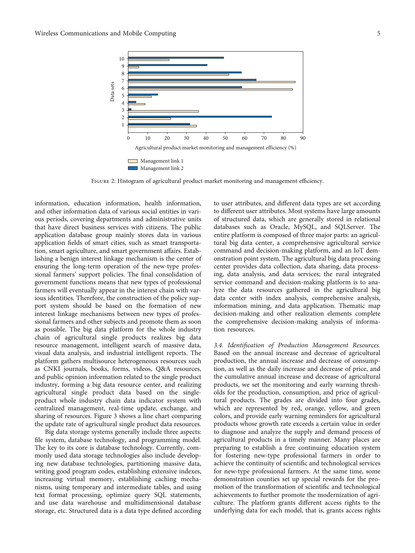<span id="page-4-0"></span>

FIGURE 2: Histogram of agricultural product market monitoring and management efficiency.

information, education information, health information, and other information data of various social entities in various periods, covering departments and administrative units that have direct business services with citizens. The public application database group mainly stores data in various application fields of smart cities, such as smart transportation, smart agriculture, and smart government affairs. Establishing a benign interest linkage mechanism is the center of ensuring the long-term operation of the new-type professional farmers' support policies. The final consolidation of government functions means that new types of professional farmers will eventually appear in the interest chain with various identities. Therefore, the construction of the policy support system should be based on the formation of new interest linkage mechanisms between new types of professional farmers and other subjects and promote them as soon as possible. The big data platform for the whole industry chain of agricultural single products realizes big data resource management, intelligent search of massive data, visual data analysis, and industrial intelligent reports. The platform gathers multisource heterogeneous resources such as CNKI journals, books, forms, videos, Q&A resources, and public opinion information related to the single product industry, forming a big data resource center, and realizing agricultural single product data based on the singleproduct whole industry chain data indicator system with centralized management, real-time update, exchange, and sharing of resources. Figure [3](#page-5-0) shows a line chart comparing the update rate of agricultural single product data resources.

Big data storage systems generally include three aspects: file system, database technology, and programming model. The key to its core is database technology. Currently, commonly used data storage technologies also include developing new database technologies, partitioning massive data, writing good program codes, establishing extensive indexes, increasing virtual memory, establishing caching mechanisms, using temporary and intermediate tables, and using text format processing, optimize query SQL statements, and use data warehouse and multidimensional database storage, etc. Structured data is a data type defined according to user attributes, and different data types are set according to different user attributes. Most systems have large amounts of structured data, which are generally stored in relational databases such as Oracle, MySQL, and SQLServer. The entire platform is composed of three major parts: an agricultural big data center, a comprehensive agricultural service command and decision-making platform, and an IoT demonstration point system. The agricultural big data processing center provides data collection, data sharing, data processing, data analysis, and data services; the rural integrated service command and decision-making platform is to analyze the data resources gathered in the agricultural big data center with index analysis, comprehensive analysis, information mining, and data application. Thematic map decision-making and other realization elements complete the comprehensive decision-making analysis of information resources.

3.4. Identification of Production Management Resources. Based on the annual increase and decrease of agricultural production, the annual increase and decrease of consumption, as well as the daily increase and decrease of price, and the cumulative annual increase and decrease of agricultural products, we set the monitoring and early warning thresholds for the production, consumption, and price of agricultural products. The grades are divided into four grades, which are represented by red, orange, yellow, and green colors, and provide early warning reminders for agricultural products whose growth rate exceeds a certain value in order to diagnose and analyze the supply and demand process of agricultural products in a timely manner. Many places are preparing to establish a free continuing education system for fostering new-type professional farmers in order to achieve the continuity of scientific and technological services for new-type professional farmers. At the same time, some demonstration counties set up special rewards for the promotion of the transformation of scientific and technological achievements to further promote the modernization of agriculture. The platform grants different access rights to the underlying data for each model, that is, grants access rights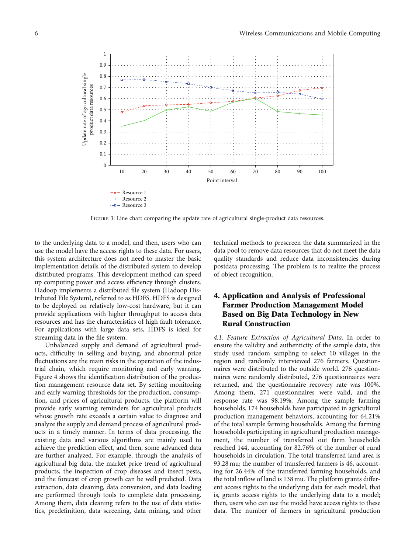<span id="page-5-0"></span>

Figure 3: Line chart comparing the update rate of agricultural single-product data resources.

to the underlying data to a model, and then, users who can use the model have the access rights to these data. For users, this system architecture does not need to master the basic implementation details of the distributed system to develop distributed programs. This development method can speed up computing power and access efficiency through clusters. Hadoop implements a distributed file system (Hadoop Distributed File System), referred to as HDFS. HDFS is designed to be deployed on relatively low-cost hardware, but it can provide applications with higher throughput to access data resources and has the characteristics of high fault tolerance. For applications with large data sets, HDFS is ideal for streaming data in the file system.

Unbalanced supply and demand of agricultural products, difficulty in selling and buying, and abnormal price fluctuations are the main risks in the operation of the industrial chain, which require monitoring and early warning. Figure [4](#page-6-0) shows the identification distribution of the production management resource data set. By setting monitoring and early warning thresholds for the production, consumption, and prices of agricultural products, the platform will provide early warning reminders for agricultural products whose growth rate exceeds a certain value to diagnose and analyze the supply and demand process of agricultural products in a timely manner. In terms of data processing, the existing data and various algorithms are mainly used to achieve the prediction effect, and then, some advanced data are further analyzed. For example, through the analysis of agricultural big data, the market price trend of agricultural products, the inspection of crop diseases and insect pests, and the forecast of crop growth can be well predicted. Data extraction, data cleaning, data conversion, and data loading are performed through tools to complete data processing. Among them, data cleaning refers to the use of data statistics, predefinition, data screening, data mining, and other technical methods to prescreen the data summarized in the data pool to remove data resources that do not meet the data quality standards and reduce data inconsistencies during postdata processing. The problem is to realize the process of object recognition.

## 4. Application and Analysis of Professional Farmer Production Management Model Based on Big Data Technology in New Rural Construction

4.1. Feature Extraction of Agricultural Data. In order to ensure the validity and authenticity of the sample data, this study used random sampling to select 10 villages in the region and randomly interviewed 276 farmers. Questionnaires were distributed to the outside world. 276 questionnaires were randomly distributed, 276 questionnaires were returned, and the questionnaire recovery rate was 100%. Among them, 271 questionnaires were valid, and the response rate was 98.19%. Among the sample farming households, 174 households have participated in agricultural production management behaviors, accounting for 64.21% of the total sample farming households. Among the farming households participating in agricultural production management, the number of transferred out farm households reached 144, accounting for 82.76% of the number of rural households in circulation. The total transferred land area is 93.28 mu; the number of transferred farmers is 46, accounting for 26.44% of the transferred farming households, and the total inflow of land is 138 mu. The platform grants different access rights to the underlying data for each model, that is, grants access rights to the underlying data to a model; then, users who can use the model have access rights to these data. The number of farmers in agricultural production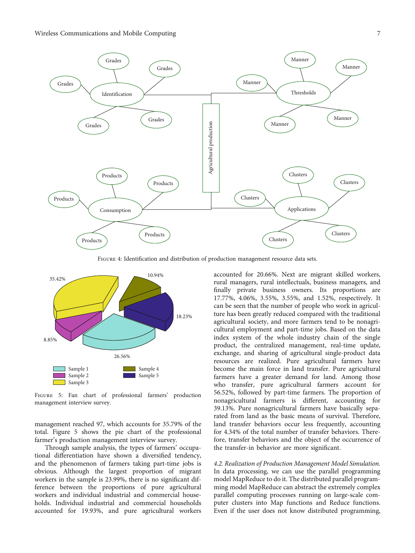<span id="page-6-0"></span>

Figure 4: Identification and distribution of production management resource data sets.



Figure 5: Fan chart of professional farmers' production management interview survey.

management reached 97, which accounts for 35.79% of the total. Figure 5 shows the pie chart of the professional farmer's production management interview survey.

Through sample analysis, the types of farmers' occupational differentiation have shown a diversified tendency, and the phenomenon of farmers taking part-time jobs is obvious. Although the largest proportion of migrant workers in the sample is 23.99%, there is no significant difference between the proportions of pure agricultural workers and individual industrial and commercial households. Individual industrial and commercial households accounted for 19.93%, and pure agricultural workers

accounted for 20.66%. Next are migrant skilled workers, rural managers, rural intellectuals, business managers, and finally private business owners. Its proportions are 17.77%, 4.06%, 3.55%, 3.55%, and 1.52%, respectively. It can be seen that the number of people who work in agriculture has been greatly reduced compared with the traditional agricultural society, and more farmers tend to be nonagricultural employment and part-time jobs. Based on the data index system of the whole industry chain of the single product, the centralized management, real-time update, exchange, and sharing of agricultural single-product data resources are realized. Pure agricultural farmers have become the main force in land transfer. Pure agricultural farmers have a greater demand for land. Among those who transfer, pure agricultural farmers account for 56.52%, followed by part-time farmers. The proportion of nonagricultural farmers is different, accounting for 39.13%. Pure nonagricultural farmers have basically separated from land as the basic means of survival. Therefore, land transfer behaviors occur less frequently, accounting for 4.34% of the total number of transfer behaviors. Therefore, transfer behaviors and the object of the occurrence of the transfer-in behavior are more significant.

4.2. Realization of Production Management Model Simulation. In data processing, we can use the parallel programming model MapReduce to do it. The distributed parallel programming model MapReduce can abstract the extremely complex parallel computing processes running on large-scale computer clusters into Map functions and Reduce functions. Even if the user does not know distributed programming,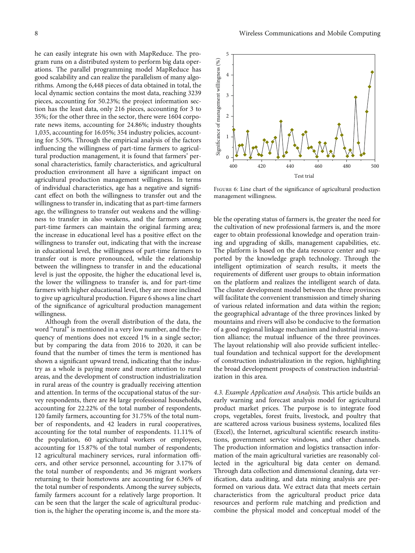he can easily integrate his own with MapReduce. The program runs on a distributed system to perform big data operations. The parallel programming model MapReduce has good scalability and can realize the parallelism of many algorithms. Among the 6,448 pieces of data obtained in total, the local dynamic section contains the most data, reaching 3239 pieces, accounting for 50.23%; the project information section has the least data, only 216 pieces, accounting for 3 to 35%; for the other three in the sector, there were 1604 corporate news items, accounting for 24.86%; industry thoughts 1,035, accounting for 16.05%; 354 industry policies, accounting for 5.50%. Through the empirical analysis of the factors influencing the willingness of part-time farmers to agricultural production management, it is found that farmers' personal characteristics, family characteristics, and agricultural production environment all have a significant impact on agricultural production management willingness. In terms of individual characteristics, age has a negative and significant effect on both the willingness to transfer out and the willingness to transfer in, indicating that as part-time farmers age, the willingness to transfer out weakens and the willingness to transfer in also weakens, and the farmers among part-time farmers can maintain the original farming area; the increase in educational level has a positive effect on the willingness to transfer out, indicating that with the increase in educational level, the willingness of part-time farmers to transfer out is more pronounced, while the relationship between the willingness to transfer in and the educational level is just the opposite, the higher the educational level is, the lower the willingness to transfer is, and for part-time farmers with higher educational level, they are more inclined to give up agricultural production. Figure 6 shows a line chart of the significance of agricultural production management willingness.

Although from the overall distribution of the data, the word "rural" is mentioned in a very low number, and the frequency of mentions does not exceed 1% in a single sector; but by comparing the data from 2016 to 2020, it can be found that the number of times the term is mentioned has shown a significant upward trend, indicating that the industry as a whole is paying more and more attention to rural areas, and the development of construction industrialization in rural areas of the country is gradually receiving attention and attention. In terms of the occupational status of the survey respondents, there are 84 large professional households, accounting for 22.22% of the total number of respondents, 120 family farmers, accounting for 31.75% of the total number of respondents, and 42 leaders in rural cooperatives, accounting for the total number of respondents. 11.11% of the population, 60 agricultural workers or employees, accounting for 15.87% of the total number of respondents; 12 agricultural machinery services, rural information officers, and other service personnel, accounting for 3.17% of the total number of respondents; and 36 migrant workers returning to their hometowns are accounting for 6.36% of the total number of respondents. Among the survey subjects, family farmers account for a relatively large proportion. It can be seen that the larger the scale of agricultural production is, the higher the operating income is, and the more sta-



Figure 6: Line chart of the significance of agricultural production management willingness.

ble the operating status of farmers is, the greater the need for the cultivation of new professional farmers is, and the more eager to obtain professional knowledge and operation training and upgrading of skills, management capabilities, etc. The platform is based on the data resource center and supported by the knowledge graph technology. Through the intelligent optimization of search results, it meets the requirements of different user groups to obtain information on the platform and realizes the intelligent search of data. The cluster development model between the three provinces will facilitate the convenient transmission and timely sharing of various related information and data within the region; the geographical advantage of the three provinces linked by mountains and rivers will also be conducive to the formation of a good regional linkage mechanism and industrial innovation alliance; the mutual influence of the three provinces. The layout relationship will also provide sufficient intellectual foundation and technical support for the development of construction industrialization in the region, highlighting the broad development prospects of construction industrialization in this area.

4.3. Example Application and Analysis. This article builds an early warning and forecast analysis model for agricultural product market prices. The purpose is to integrate food crops, vegetables, forest fruits, livestock, and poultry that are scattered across various business systems, localized files (Excel), the Internet, agricultural scientific research institutions, government service windows, and other channels. The production information and logistics transaction information of the main agricultural varieties are reasonably collected in the agricultural big data center on demand. Through data collection and dimensional cleaning, data verification, data auditing, and data mining analysis are performed on various data. We extract data that meets certain characteristics from the agricultural product price data resources and perform rule matching and prediction and combine the physical model and conceptual model of the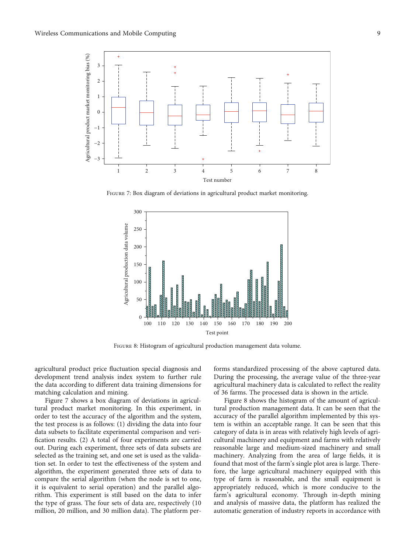

FIGURE 7: Box diagram of deviations in agricultural product market monitoring.



Figure 8: Histogram of agricultural production management data volume.

agricultural product price fluctuation special diagnosis and development trend analysis index system to further rule the data according to different data training dimensions for matching calculation and mining.

Figure 7 shows a box diagram of deviations in agricultural product market monitoring. In this experiment, in order to test the accuracy of the algorithm and the system, the test process is as follows: (1) dividing the data into four data subsets to facilitate experimental comparison and verification results. (2) A total of four experiments are carried out. During each experiment, three sets of data subsets are selected as the training set, and one set is used as the validation set. In order to test the effectiveness of the system and algorithm, the experiment generated three sets of data to compare the serial algorithm (when the node is set to one, it is equivalent to serial operation) and the parallel algorithm. This experiment is still based on the data to infer the type of grass. The four sets of data are, respectively (10 million, 20 million, and 30 million data). The platform performs standardized processing of the above captured data. During the processing, the average value of the three-year agricultural machinery data is calculated to reflect the reality of 36 farms. The processed data is shown in the article.

Figure 8 shows the histogram of the amount of agricultural production management data. It can be seen that the accuracy of the parallel algorithm implemented by this system is within an acceptable range. It can be seen that this category of data is in areas with relatively high levels of agricultural machinery and equipment and farms with relatively reasonable large and medium-sized machinery and small machinery. Analyzing from the area of large fields, it is found that most of the farm's single plot area is large. Therefore, the large agricultural machinery equipped with this type of farm is reasonable, and the small equipment is appropriately reduced, which is more conducive to the farm's agricultural economy. Through in-depth mining and analysis of massive data, the platform has realized the automatic generation of industry reports in accordance with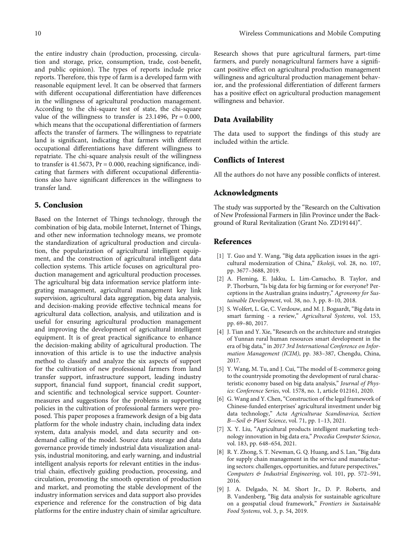<span id="page-9-0"></span>the entire industry chain (production, processing, circulation and storage, price, consumption, trade, cost-benefit, and public opinion). The types of reports include price reports. Therefore, this type of farm is a developed farm with reasonable equipment level. It can be observed that farmers with different occupational differentiation have differences in the willingness of agricultural production management. According to the chi-square test of state, the chi-square value of the willingness to transfer is 23.1496, Pr = 0*:*000, which means that the occupational differentiation of farmers affects the transfer of farmers. The willingness to repatriate land is significant, indicating that farmers with different occupational differentiations have different willingness to repatriate. The chi-square analysis result of the willingness to transfer is 41.5673, Pr = 0*:*000, reaching significance, indicating that farmers with different occupational differentiations also have significant differences in the willingness to transfer land.

## 5. Conclusion

Based on the Internet of Things technology, through the combination of big data, mobile Internet, Internet of Things, and other new information technology means, we promote the standardization of agricultural production and circulation, the popularization of agricultural intelligent equipment, and the construction of agricultural intelligent data collection systems. This article focuses on agricultural production management and agricultural production processes. The agricultural big data information service platform integrating management, agricultural management key link supervision, agricultural data aggregation, big data analysis, and decision-making provide effective technical means for agricultural data collection, analysis, and utilization and is useful for ensuring agricultural production management and improving the development of agricultural intelligent equipment. It is of great practical significance to enhance the decision-making ability of agricultural production. The innovation of this article is to use the inductive analysis method to classify and analyze the six aspects of support for the cultivation of new professional farmers from land transfer support, infrastructure support, leading industry support, financial fund support, financial credit support, and scientific and technological service support. Countermeasures and suggestions for the problems in supporting policies in the cultivation of professional farmers were proposed. This paper proposes a framework design of a big data platform for the whole industry chain, including data index system, data analysis model, and data security and ondemand calling of the model. Source data storage and data governance provide timely industrial data visualization analysis, industrial monitoring, and early warning, and industrial intelligent analysis reports for relevant entities in the industrial chain, effectively guiding production, processing, and circulation, promoting the smooth operation of production and market, and promoting the stable development of the industry information services and data support also provides experience and reference for the construction of big data platforms for the entire industry chain of similar agriculture.

Research shows that pure agricultural farmers, part-time farmers, and purely nonagricultural farmers have a significant positive effect on agricultural production management willingness and agricultural production management behavior, and the professional differentiation of different farmers has a positive effect on agricultural production management willingness and behavior.

### Data Availability

The data used to support the findings of this study are included within the article.

### Conflicts of Interest

All the authors do not have any possible conflicts of interest.

#### Acknowledgments

The study was supported by the "Research on the Cultivation of New Professional Farmers in Jilin Province under the Background of Rural Revitalization (Grant No. ZD19144)".

### References

- [1] T. Guo and Y. Wang, "Big data application issues in the agricultural modernization of China," Ekoloji, vol. 28, no. 107, pp. 3677–3688, 2019.
- [2] A. Fleming, E. Jakku, L. Lim-Camacho, B. Taylor, and P. Thorburn, "Is big data for big farming or for everyone? Perceptions in the Australian grains industry," Agronomy for Sustainable Development, vol. 38, no. 3, pp. 8–10, 2018.
- [3] S. Wolfert, L. Ge, C. Verdouw, and M. J. Bogaardt, "Big data in smart farming - a review," Agricultural Systems, vol. 153, pp. 69–80, 2017.
- [4] J. Tian and Y. Xie, "Research on the architecture and strategies of Yunnan rural human resources smart development in the era of big data," in 2017 3rd International Conference on Information Management (ICIM), pp. 383–387, Chengdu, China, 2017.
- [5] Y. Wang, M. Tu, and J. Cui, "The model of E-commerce going to the countryside promoting the development of rural characteristic economy based on big data analysis," Journal of Physics: Conference Series, vol. 1578, no. 1, article 012161, 2020.
- [6] G. Wang and Y. Chen, "Construction of the legal framework of Chinese-funded enterprises' agricultural investment under big data technology," Acta Agriculturae Scandinavica, Section B—Soil & Plant Science, vol. 71, pp. 1–13, 2021.
- [7] X. Y. Liu, "Agricultural products intelligent marketing technology innovation in big data era," Procedia Computer Science, vol. 183, pp. 648–654, 2021.
- [8] R. Y. Zhong, S. T. Newman, G. Q. Huang, and S. Lan, "Big data for supply chain management in the service and manufacturing sectors: challenges, opportunities, and future perspectives," Computers & Industrial Engineering, vol. 101, pp. 572–591, 2016.
- [9] J. A. Delgado, N. M. Short Jr., D. P. Roberts, and B. Vandenberg, "Big data analysis for sustainable agriculture on a geospatial cloud framework," Frontiers in Sustainable Food Systems, vol. 3, p. 54, 2019.